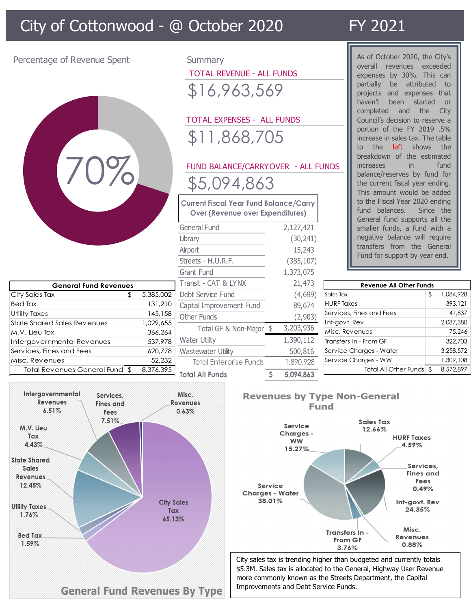# City of Cottonwood - @ October 2020 FY 2021



City of Cottonwood - @ October 2020<br>
Percentage of Revenue Spent<br>
Percentage of Revenue Spent<br>
Percentage of Revenue Spent<br>
Summary<br>
TOTAL REVENUE - ALL FUNDS<br>
Parally be a stributed<br>
Properties by 30%. This<br>
projects and TOTAL REVENUE - ALL FUNDS \$16,963,569

| City of Cottonwood - @ October 2020                                                      |  |           |                                   |                                                                                                                                                                                                                  |                                                                        |                   | FY 2021                                                                                                                                                                                                                                                                                                                                                                                                                                                                                                                                                                                                                                                                                                                                                                 |           |  |
|------------------------------------------------------------------------------------------|--|-----------|-----------------------------------|------------------------------------------------------------------------------------------------------------------------------------------------------------------------------------------------------------------|------------------------------------------------------------------------|-------------------|-------------------------------------------------------------------------------------------------------------------------------------------------------------------------------------------------------------------------------------------------------------------------------------------------------------------------------------------------------------------------------------------------------------------------------------------------------------------------------------------------------------------------------------------------------------------------------------------------------------------------------------------------------------------------------------------------------------------------------------------------------------------------|-----------|--|
| Percentage of Revenue Spent                                                              |  |           |                                   | <b>TOTAL REVENUE - ALL FUNDS</b><br>\$16,963,569<br><b>TOTAL EXPENSES - ALL FUNDS</b><br>\$11,868,705<br>\$5,094,863<br><b>Current Fiscal Year Fund Balance/Carry</b><br><b>Over (Revenue over Expenditures)</b> | FUND BALANCE/CARRYOVER - ALL FUNDS<br>2,127,421<br>(30, 241)<br>15,243 |                   | As of October 2020, the City's<br>overall revenues exceeded<br>expenses by 30%. This can<br>partially<br>be attributed to<br>projects and expenses that<br>haven't<br>been<br>started<br><b>or</b><br>completed and the<br>City<br>Council's decision to reserve a<br>portion of the FY 2019 .5%<br>increase in sales tax. The table<br>to the <b>left</b> shows the<br>breakdown of the estimated<br>in<br>fund<br><i>increases</i><br>balance/reserves by fund for<br>the current fiscal year ending.<br>This amount would be added<br>to the Fiscal Year 2020 ending<br>fund balances.<br>Since the<br>General fund supports all the<br>smaller funds, a fund with a<br>negative balance will require<br>transfers from the General<br>Fund for support by year end. |           |  |
|                                                                                          |  |           | Streets - H.U.R.F.<br>Grant Fund  |                                                                                                                                                                                                                  | (385, 107)                                                             |                   |                                                                                                                                                                                                                                                                                                                                                                                                                                                                                                                                                                                                                                                                                                                                                                         |           |  |
| <b>General Fund Revenues</b>                                                             |  |           | Transit - CAT & LYNX              |                                                                                                                                                                                                                  | 1,373,075<br>21,473                                                    |                   | <b>Revenue All Other Funds</b>                                                                                                                                                                                                                                                                                                                                                                                                                                                                                                                                                                                                                                                                                                                                          |           |  |
| City Sales Tax                                                                           |  | 5,385,002 | Debt Service Fund                 |                                                                                                                                                                                                                  | (4,699)                                                                | Sales Tax         |                                                                                                                                                                                                                                                                                                                                                                                                                                                                                                                                                                                                                                                                                                                                                                         | 1,084,928 |  |
| Bed Tax                                                                                  |  | 131,210   | Capital Improvement Fund          |                                                                                                                                                                                                                  | 89,674                                                                 | <b>HURF Taxes</b> |                                                                                                                                                                                                                                                                                                                                                                                                                                                                                                                                                                                                                                                                                                                                                                         | 393,121   |  |
| U tility Taxes                                                                           |  | 145,158   | Other Funds                       |                                                                                                                                                                                                                  | (2,903)                                                                |                   | Services, Fines and Fees                                                                                                                                                                                                                                                                                                                                                                                                                                                                                                                                                                                                                                                                                                                                                | 41,837    |  |
| State Shared Sales Revenues                                                              |  | 1,029,655 |                                   |                                                                                                                                                                                                                  |                                                                        | Int-govt. Rev     |                                                                                                                                                                                                                                                                                                                                                                                                                                                                                                                                                                                                                                                                                                                                                                         | 2,087,380 |  |
| M.V. Lieu Tax                                                                            |  | 366,264   |                                   | Total GF & Non-Major \$                                                                                                                                                                                          | 3,203,936                                                              | Misc. Revenues    |                                                                                                                                                                                                                                                                                                                                                                                                                                                                                                                                                                                                                                                                                                                                                                         | 75,246    |  |
| Intergovernmental Revenues                                                               |  | 537,978   | <b>Water Utility</b>              |                                                                                                                                                                                                                  | 1,390,112                                                              |                   | Transfers In - From GF                                                                                                                                                                                                                                                                                                                                                                                                                                                                                                                                                                                                                                                                                                                                                  | 322,703   |  |
| Services, Fines and Fees                                                                 |  | 620,778   | Wastewater Utility                |                                                                                                                                                                                                                  | 500,816                                                                |                   | Service Charges - Water                                                                                                                                                                                                                                                                                                                                                                                                                                                                                                                                                                                                                                                                                                                                                 | 3,258,572 |  |
| Misc. Revenues                                                                           |  | 52,232    |                                   | <b>Total Enterprise Funds</b>                                                                                                                                                                                    | 1,890,928                                                              |                   | Service Charges - WW                                                                                                                                                                                                                                                                                                                                                                                                                                                                                                                                                                                                                                                                                                                                                    | 1,309,108 |  |
| Total Revenues General Fund \$                                                           |  | 8,376,395 | <b>Total All Funds</b>            |                                                                                                                                                                                                                  | 5,094,863                                                              |                   | Total All Other Funds \$                                                                                                                                                                                                                                                                                                                                                                                                                                                                                                                                                                                                                                                                                                                                                | 8,572,897 |  |
| Intergovernmental<br>Services,<br>Revenues<br><b>Fines and</b><br>6.51%<br>Fees<br>7.51% |  |           | Misc.<br><b>Revenues</b><br>0.63% |                                                                                                                                                                                                                  |                                                                        | Fund              | <b>Revenues by Type Non-General</b><br>Sales Tay                                                                                                                                                                                                                                                                                                                                                                                                                                                                                                                                                                                                                                                                                                                        |           |  |
|                                                                                          |  |           |                                   |                                                                                                                                                                                                                  |                                                                        |                   |                                                                                                                                                                                                                                                                                                                                                                                                                                                                                                                                                                                                                                                                                                                                                                         |           |  |

As of October 2020, the City's overall revenues exceeded expenses by 30%. This can partially be attributed to projects and expenses that haven't been started or completed and the City Council's decision to reserve a portion of the FY 2019 .5% increase in sales tax. The table to the **left** shows the breakdown of the estimated increases in fund balance/reserves by fund for the current fiscal year ending. This amount would be added to the Fiscal Year 2020 ending fund balances. Since the General fund supports all the smaller funds, a fund with a negative balance will require transfers from the General Fund for support by year end. haven't been started or<br>
completed and the City<br>
Council's decision to reserve a<br>
portion of the FY 2019 .5%<br>
increase in sales tax. The table<br>
to the left shows the<br>
breakdown of the estimated<br>
increases in fund<br>
balance/ conneited and the City<br>
porticle of the FY 2019 .5%<br>
porticle of the FY 2019 .5%<br>
increase in sales tax. The table<br>
to the left shows the<br>
breakdown of the estimated<br>
increases in fund<br>
balance/reserves by fund for<br>
the cu Council's decision to reserve a<br>portion of the FY 2019. 5%<br>increase in sales tax. The table<br>to the left shows the<br>breakdown of the estimated<br>increases in fund<br>balance/reserves by fund for<br>the current fiscal year ending.<br>Th

| 11,868,705                                                                         |  |            |                                 | DOLIDII OI LIIE FI ZUIY.J%<br>increase in sales tax. The table<br>left shows the<br>the<br>to<br>breakdown of the estimated                                                                     |      |                     |  |  |
|------------------------------------------------------------------------------------|--|------------|---------------------------------|-------------------------------------------------------------------------------------------------------------------------------------------------------------------------------------------------|------|---------------------|--|--|
| ND BALANCE/CARRYOVER - ALL FUNDS                                                   |  |            |                                 | increases<br>in.                                                                                                                                                                                | fund |                     |  |  |
| 5,094,863<br>ent Fiscal Year Fund Balance/Carry<br>ver (Revenue over Expenditures) |  |            |                                 | balance/reserves by fund for<br>the current fiscal year ending.<br>This amount would be added<br>to the Fiscal Year 2020 ending<br>fund balances.<br>Since the<br>General fund supports all the |      |                     |  |  |
|                                                                                    |  |            |                                 |                                                                                                                                                                                                 |      |                     |  |  |
| al Fund                                                                            |  | 2,127,421  |                                 | smaller funds, a fund with a                                                                                                                                                                    |      |                     |  |  |
|                                                                                    |  | (30, 241)  |                                 | negative balance will require                                                                                                                                                                   |      |                     |  |  |
|                                                                                    |  | 15,243     |                                 | transfers from the General                                                                                                                                                                      |      |                     |  |  |
| s - H.U.R.F.                                                                       |  | (385, 107) |                                 | Fund for support by year end.                                                                                                                                                                   |      |                     |  |  |
| Fund                                                                               |  | 1,373,075  |                                 |                                                                                                                                                                                                 |      |                     |  |  |
| it - CAT & LYNX                                                                    |  | 21,473     |                                 | <b>Revenue All Other Funds</b>                                                                                                                                                                  |      |                     |  |  |
| Service Fund                                                                       |  | (4,699)    | Sales Tax                       |                                                                                                                                                                                                 | \$   | 1.084.928           |  |  |
| I Improvement Fund                                                                 |  | 89,674     | <b>HURF Taxes</b>               |                                                                                                                                                                                                 |      | 393,121             |  |  |
| Funds                                                                              |  | (2,903)    |                                 | Services, Fines and Fees                                                                                                                                                                        |      | 41,837              |  |  |
| Total GF & Non-Major \$                                                            |  | 3,203,936  | Int-govt. Rev<br>Misc. Revenues |                                                                                                                                                                                                 |      | 2,087,380<br>75,246 |  |  |
| · Utility                                                                          |  | 1,390,112  |                                 | Transfers In - From GF                                                                                                                                                                          |      | 322,703             |  |  |
| ewater Utility                                                                     |  | 500,816    |                                 | Service Charges - Water                                                                                                                                                                         |      | 3,258,572           |  |  |
| otal Enterprise Funds                                                              |  | 890,928    |                                 | Service Charges - WW                                                                                                                                                                            |      | 1,309,108           |  |  |
| <b>All Funds</b>                                                                   |  | 5,094,863  |                                 | Total All Other Funds \$                                                                                                                                                                        |      | 8,572,897           |  |  |
| S.                                                                                 |  |            | <b>Fund</b>                     | <b>Revenues by Type Non-General</b>                                                                                                                                                             |      |                     |  |  |





City sales tax is trending higher than budgeted and currently totals \$5.3M. Sales tax is allocated to the General, Highway User Revenue more commonly known as the Streets Department, the Capital Improvements and Debt Service Funds.

### **General Fund Revenues By Type**